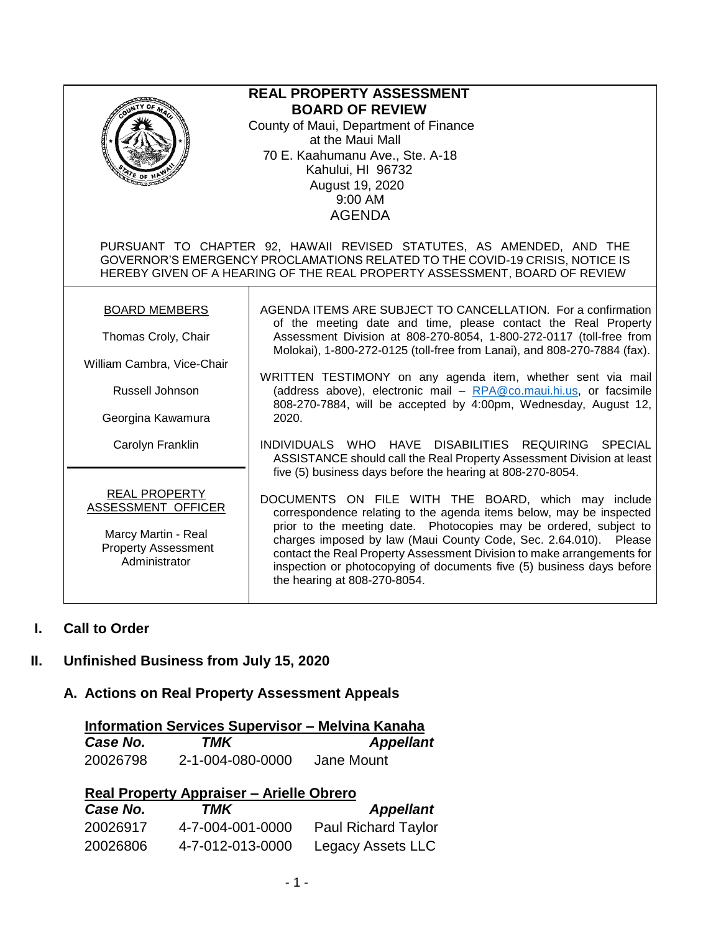| <b>REAL PROPERTY ASSESSMENT</b><br><b>BOARD OF REVIEW</b><br>County of Maui, Department of Finance<br>at the Maui Mall<br>70 E. Kaahumanu Ave., Ste. A-18<br>Kahului, HI 96732<br>August 19, 2020<br>9:00 AM<br><b>AGENDA</b>      |                                                                                                                                                                                                                                                                                                                                                                                                                                                                                                                                                                                                                                    |  |
|------------------------------------------------------------------------------------------------------------------------------------------------------------------------------------------------------------------------------------|------------------------------------------------------------------------------------------------------------------------------------------------------------------------------------------------------------------------------------------------------------------------------------------------------------------------------------------------------------------------------------------------------------------------------------------------------------------------------------------------------------------------------------------------------------------------------------------------------------------------------------|--|
| PURSUANT TO CHAPTER 92, HAWAII REVISED STATUTES, AS AMENDED, AND THE<br>GOVERNOR'S EMERGENCY PROCLAMATIONS RELATED TO THE COVID-19 CRISIS, NOTICE IS<br>HEREBY GIVEN OF A HEARING OF THE REAL PROPERTY ASSESSMENT, BOARD OF REVIEW |                                                                                                                                                                                                                                                                                                                                                                                                                                                                                                                                                                                                                                    |  |
| <b>BOARD MEMBERS</b><br>Thomas Croly, Chair<br>William Cambra, Vice-Chair<br>Russell Johnson<br>Georgina Kawamura<br>Carolyn Franklin                                                                                              | AGENDA ITEMS ARE SUBJECT TO CANCELLATION. For a confirmation<br>of the meeting date and time, please contact the Real Property<br>Assessment Division at 808-270-8054, 1-800-272-0117 (toll-free from<br>Molokai), 1-800-272-0125 (toll-free from Lanai), and 808-270-7884 (fax).<br>WRITTEN TESTIMONY on any agenda item, whether sent via mail<br>(address above), electronic mail - RPA@co.maui.hi.us, or facsimile<br>808-270-7884, will be accepted by 4:00pm, Wednesday, August 12,<br>2020.<br>INDIVIDUALS WHO HAVE DISABILITIES REQUIRING SPECIAL<br>ASSISTANCE should call the Real Property Assessment Division at least |  |
| <b>REAL PROPERTY</b><br>ASSESSMENT OFFICER<br>Marcy Martin - Real<br><b>Property Assessment</b><br>Administrator                                                                                                                   | five (5) business days before the hearing at 808-270-8054.<br>DOCUMENTS ON FILE WITH THE BOARD, which may include<br>correspondence relating to the agenda items below, may be inspected<br>prior to the meeting date. Photocopies may be ordered, subject to<br>charges imposed by law (Maui County Code, Sec. 2.64.010). Please<br>contact the Real Property Assessment Division to make arrangements for<br>inspection or photocopying of documents five (5) business days before<br>the hearing at 808-270-8054.                                                                                                               |  |

### **I. Call to Order**

# **II. Unfinished Business from July 15, 2020**

# **A. Actions on Real Property Assessment Appeals**

|          | <b>Information Services Supervisor - Melvina Kanaha</b> |                  |
|----------|---------------------------------------------------------|------------------|
| Case No. | TMK                                                     | <b>Appellant</b> |
| 20026798 | 2-1-004-080-0000                                        | Jane Mount       |

| <b>Real Property Appraiser - Arielle Obrero</b> |                  |                            |  |
|-------------------------------------------------|------------------|----------------------------|--|
| Case No.                                        | TMK              | <b>Appellant</b>           |  |
| 20026917                                        | 4-7-004-001-0000 | <b>Paul Richard Taylor</b> |  |
| 20026806                                        | 4-7-012-013-0000 | Legacy Assets LLC          |  |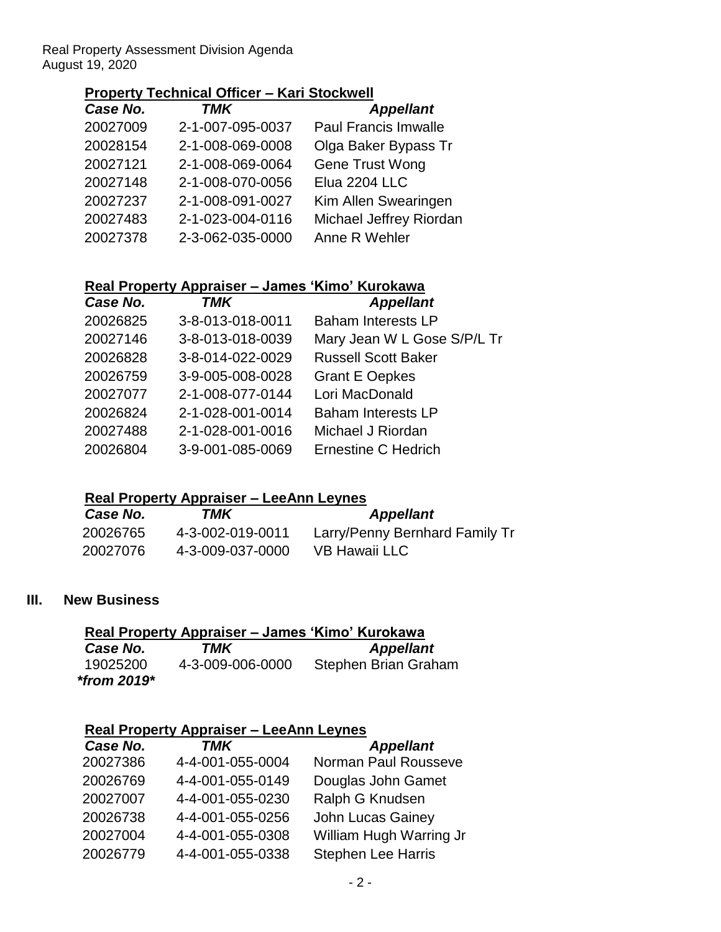Real Property Assessment Division Agenda August 19, 2020

### **Property Technical Officer – Kari Stockwell**

| Case No. | <b>TMK</b>       | <b>Appellant</b>            |
|----------|------------------|-----------------------------|
| 20027009 | 2-1-007-095-0037 | <b>Paul Francis Imwalle</b> |
| 20028154 | 2-1-008-069-0008 | Olga Baker Bypass Tr        |
| 20027121 | 2-1-008-069-0064 | Gene Trust Wong             |
| 20027148 | 2-1-008-070-0056 | Elua 2204 LLC               |
| 20027237 | 2-1-008-091-0027 | Kim Allen Swearingen        |
| 20027483 | 2-1-023-004-0116 | Michael Jeffrey Riordan     |
| 20027378 | 2-3-062-035-0000 | Anne R Wehler               |
|          |                  |                             |

#### **Real Property Appraiser – James 'Kimo' Kurokawa**

| Case No. | <b>TMK</b>       | <b>Appellant</b>            |
|----------|------------------|-----------------------------|
| 20026825 | 3-8-013-018-0011 | <b>Baham Interests LP</b>   |
| 20027146 | 3-8-013-018-0039 | Mary Jean W L Gose S/P/L Tr |
| 20026828 | 3-8-014-022-0029 | <b>Russell Scott Baker</b>  |
| 20026759 | 3-9-005-008-0028 | <b>Grant E Oepkes</b>       |
| 20027077 | 2-1-008-077-0144 | Lori MacDonald              |
| 20026824 | 2-1-028-001-0014 | <b>Baham Interests LP</b>   |
| 20027488 | 2-1-028-001-0016 | Michael J Riordan           |
| 20026804 | 3-9-001-085-0069 | <b>Ernestine C Hedrich</b>  |
|          |                  |                             |

#### **Real Property Appraiser – LeeAnn Leynes**

| Case No. | TMK              | <b>Appellant</b>               |
|----------|------------------|--------------------------------|
| 20026765 | 4-3-002-019-0011 | Larry/Penny Bernhard Family Tr |
| 20027076 | 4-3-009-037-0000 | VB Hawaii LLC                  |

#### **III. New Business**

| Real Property Appraiser – James 'Kimo' Kurokawa |                  |                      |  |
|-------------------------------------------------|------------------|----------------------|--|
| Case No.                                        | TMK              | <b>Appellant</b>     |  |
| 19025200                                        | 4-3-009-006-0000 | Stephen Brian Graham |  |
| *from $2019*$                                   |                  |                      |  |

#### **Real Property Appraiser – LeeAnn Leynes**

| Case No. | <b>TMK</b>       | <b>Appellant</b>          |
|----------|------------------|---------------------------|
| 20027386 | 4-4-001-055-0004 | Norman Paul Rousseve      |
| 20026769 | 4-4-001-055-0149 | Douglas John Gamet        |
| 20027007 | 4-4-001-055-0230 | Ralph G Knudsen           |
| 20026738 | 4-4-001-055-0256 | <b>John Lucas Gainey</b>  |
| 20027004 | 4-4-001-055-0308 | William Hugh Warring Jr   |
| 20026779 | 4-4-001-055-0338 | <b>Stephen Lee Harris</b> |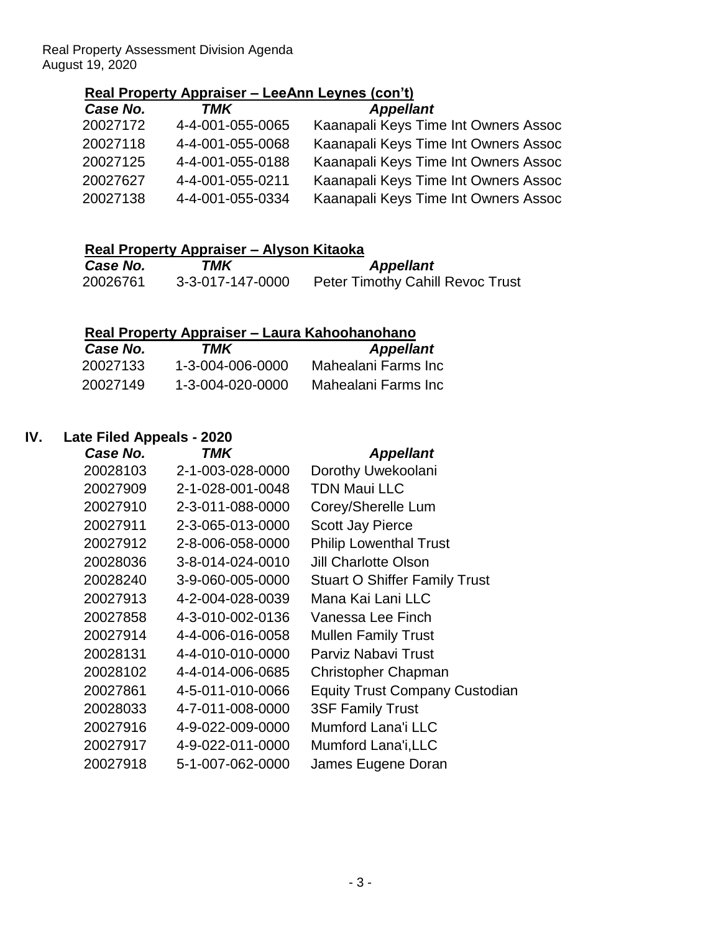Real Property Assessment Division Agenda August 19, 2020

### **Real Property Appraiser – LeeAnn Leynes (con't)**

| Case No. | TMK              | <b>Appellant</b>                     |
|----------|------------------|--------------------------------------|
| 20027172 | 4-4-001-055-0065 | Kaanapali Keys Time Int Owners Assoc |
| 20027118 | 4-4-001-055-0068 | Kaanapali Keys Time Int Owners Assoc |
| 20027125 | 4-4-001-055-0188 | Kaanapali Keys Time Int Owners Assoc |
| 20027627 | 4-4-001-055-0211 | Kaanapali Keys Time Int Owners Assoc |
| 20027138 | 4-4-001-055-0334 | Kaanapali Keys Time Int Owners Assoc |

|  | Real Property Appraiser - Alyson Kitaoka |  |
|--|------------------------------------------|--|
|  |                                          |  |

| Case No. | TMK              | <b>Appellant</b>                        |
|----------|------------------|-----------------------------------------|
| 20026761 | 3-3-017-147-0000 | <b>Peter Timothy Cahill Revoc Trust</b> |

# **Real Property Appraiser – Laura Kahoohanohano**

| Case No. | TMK              | <b>Appellant</b>    |
|----------|------------------|---------------------|
| 20027133 | 1-3-004-006-0000 | Mahealani Farms Inc |
| 20027149 | 1-3-004-020-0000 | Mahealani Farms Inc |

### **IV. Late Filed Appeals - 2020**

| Case No. | TMK              | <b>Appellant</b>                      |
|----------|------------------|---------------------------------------|
| 20028103 | 2-1-003-028-0000 | Dorothy Uwekoolani                    |
| 20027909 | 2-1-028-001-0048 | <b>TDN Maui LLC</b>                   |
| 20027910 | 2-3-011-088-0000 | Corey/Sherelle Lum                    |
| 20027911 | 2-3-065-013-0000 | <b>Scott Jay Pierce</b>               |
| 20027912 | 2-8-006-058-0000 | <b>Philip Lowenthal Trust</b>         |
| 20028036 | 3-8-014-024-0010 | <b>Jill Charlotte Olson</b>           |
| 20028240 | 3-9-060-005-0000 | <b>Stuart O Shiffer Family Trust</b>  |
| 20027913 | 4-2-004-028-0039 | Mana Kai Lani LLC                     |
| 20027858 | 4-3-010-002-0136 | Vanessa Lee Finch                     |
| 20027914 | 4-4-006-016-0058 | <b>Mullen Family Trust</b>            |
| 20028131 | 4-4-010-010-0000 | Parviz Nabavi Trust                   |
| 20028102 | 4-4-014-006-0685 | <b>Christopher Chapman</b>            |
| 20027861 | 4-5-011-010-0066 | <b>Equity Trust Company Custodian</b> |
| 20028033 | 4-7-011-008-0000 | <b>3SF Family Trust</b>               |
| 20027916 | 4-9-022-009-0000 | <b>Mumford Lana'i LLC</b>             |
| 20027917 | 4-9-022-011-0000 | Mumford Lana'i, LLC                   |
| 20027918 | 5-1-007-062-0000 | James Eugene Doran                    |
|          |                  |                                       |